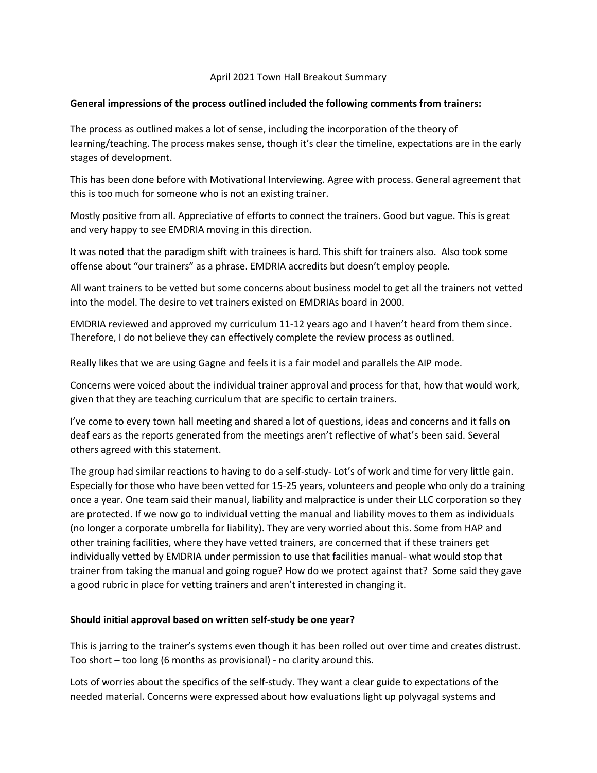#### April 2021 Town Hall Breakout Summary

#### **General impressions of the process outlined included the following comments from trainers:**

The process as outlined makes a lot of sense, including the incorporation of the theory of learning/teaching. The process makes sense, though it's clear the timeline, expectations are in the early stages of development.

This has been done before with Motivational Interviewing. Agree with process. General agreement that this is too much for someone who is not an existing trainer.

Mostly positive from all. Appreciative of efforts to connect the trainers. Good but vague. This is great and very happy to see EMDRIA moving in this direction.

It was noted that the paradigm shift with trainees is hard. This shift for trainers also. Also took some offense about "our trainers" as a phrase. EMDRIA accredits but doesn't employ people.

All want trainers to be vetted but some concerns about business model to get all the trainers not vetted into the model. The desire to vet trainers existed on EMDRIAs board in 2000.

EMDRIA reviewed and approved my curriculum 11-12 years ago and I haven't heard from them since. Therefore, I do not believe they can effectively complete the review process as outlined.

Really likes that we are using Gagne and feels it is a fair model and parallels the AIP mode.

Concerns were voiced about the individual trainer approval and process for that, how that would work, given that they are teaching curriculum that are specific to certain trainers.

I've come to every town hall meeting and shared a lot of questions, ideas and concerns and it falls on deaf ears as the reports generated from the meetings aren't reflective of what's been said. Several others agreed with this statement.

The group had similar reactions to having to do a self-study- Lot's of work and time for very little gain. Especially for those who have been vetted for 15-25 years, volunteers and people who only do a training once a year. One team said their manual, liability and malpractice is under their LLC corporation so they are protected. If we now go to individual vetting the manual and liability moves to them as individuals (no longer a corporate umbrella for liability). They are very worried about this. Some from HAP and other training facilities, where they have vetted trainers, are concerned that if these trainers get individually vetted by EMDRIA under permission to use that facilities manual- what would stop that trainer from taking the manual and going rogue? How do we protect against that? Some said they gave a good rubric in place for vetting trainers and aren't interested in changing it.

### **Should initial approval based on written self-study be one year?**

This is jarring to the trainer's systems even though it has been rolled out over time and creates distrust. Too short – too long (6 months as provisional) - no clarity around this.

Lots of worries about the specifics of the self-study. They want a clear guide to expectations of the needed material. Concerns were expressed about how evaluations light up polyvagal systems and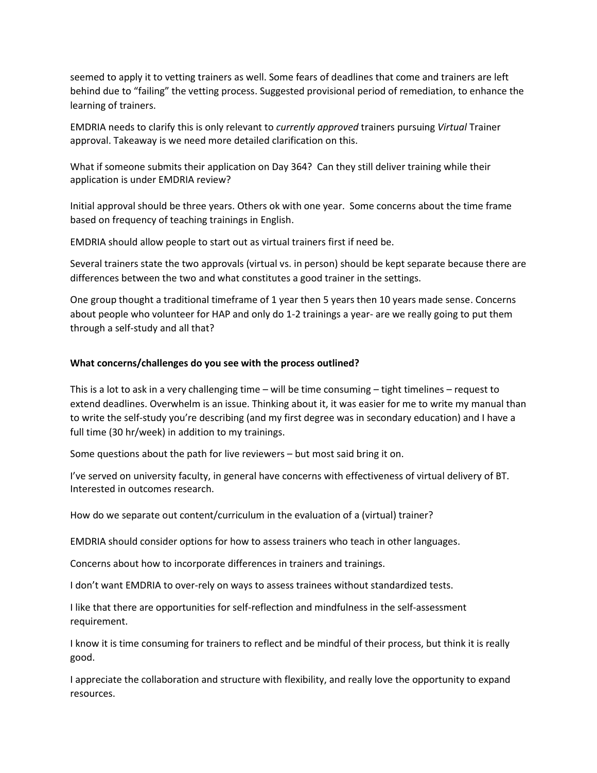seemed to apply it to vetting trainers as well. Some fears of deadlines that come and trainers are left behind due to "failing" the vetting process. Suggested provisional period of remediation, to enhance the learning of trainers.

EMDRIA needs to clarify this is only relevant to *currently approved* trainers pursuing *Virtual* Trainer approval. Takeaway is we need more detailed clarification on this.

What if someone submits their application on Day 364? Can they still deliver training while their application is under EMDRIA review?

Initial approval should be three years. Others ok with one year. Some concerns about the time frame based on frequency of teaching trainings in English.

EMDRIA should allow people to start out as virtual trainers first if need be.

Several trainers state the two approvals (virtual vs. in person) should be kept separate because there are differences between the two and what constitutes a good trainer in the settings.

One group thought a traditional timeframe of 1 year then 5 years then 10 years made sense. Concerns about people who volunteer for HAP and only do 1-2 trainings a year- are we really going to put them through a self-study and all that?

#### **What concerns/challenges do you see with the process outlined?**

This is a lot to ask in a very challenging time – will be time consuming – tight timelines – request to extend deadlines. Overwhelm is an issue. Thinking about it, it was easier for me to write my manual than to write the self-study you're describing (and my first degree was in secondary education) and I have a full time (30 hr/week) in addition to my trainings.

Some questions about the path for live reviewers – but most said bring it on.

I've served on university faculty, in general have concerns with effectiveness of virtual delivery of BT. Interested in outcomes research.

How do we separate out content/curriculum in the evaluation of a (virtual) trainer?

EMDRIA should consider options for how to assess trainers who teach in other languages.

Concerns about how to incorporate differences in trainers and trainings.

I don't want EMDRIA to over-rely on ways to assess trainees without standardized tests.

I like that there are opportunities for self-reflection and mindfulness in the self-assessment requirement.

I know it is time consuming for trainers to reflect and be mindful of their process, but think it is really good.

I appreciate the collaboration and structure with flexibility, and really love the opportunity to expand resources.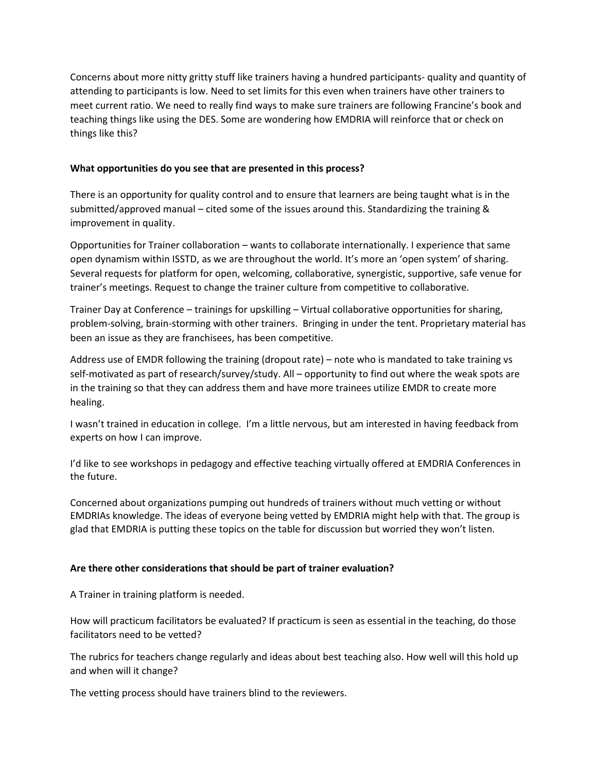Concerns about more nitty gritty stuff like trainers having a hundred participants- quality and quantity of attending to participants is low. Need to set limits for this even when trainers have other trainers to meet current ratio. We need to really find ways to make sure trainers are following Francine's book and teaching things like using the DES. Some are wondering how EMDRIA will reinforce that or check on things like this?

## **What opportunities do you see that are presented in this process?**

There is an opportunity for quality control and to ensure that learners are being taught what is in the submitted/approved manual – cited some of the issues around this. Standardizing the training & improvement in quality.

Opportunities for Trainer collaboration – wants to collaborate internationally. I experience that same open dynamism within ISSTD, as we are throughout the world. It's more an 'open system' of sharing. Several requests for platform for open, welcoming, collaborative, synergistic, supportive, safe venue for trainer's meetings. Request to change the trainer culture from competitive to collaborative.

Trainer Day at Conference – trainings for upskilling – Virtual collaborative opportunities for sharing, problem-solving, brain-storming with other trainers. Bringing in under the tent. Proprietary material has been an issue as they are franchisees, has been competitive.

Address use of EMDR following the training (dropout rate) – note who is mandated to take training vs self-motivated as part of research/survey/study. All – opportunity to find out where the weak spots are in the training so that they can address them and have more trainees utilize EMDR to create more healing.

I wasn't trained in education in college. I'm a little nervous, but am interested in having feedback from experts on how I can improve.

I'd like to see workshops in pedagogy and effective teaching virtually offered at EMDRIA Conferences in the future.

Concerned about organizations pumping out hundreds of trainers without much vetting or without EMDRIAs knowledge. The ideas of everyone being vetted by EMDRIA might help with that. The group is glad that EMDRIA is putting these topics on the table for discussion but worried they won't listen.

# **Are there other considerations that should be part of trainer evaluation?**

A Trainer in training platform is needed.

How will practicum facilitators be evaluated? If practicum is seen as essential in the teaching, do those facilitators need to be vetted?

The rubrics for teachers change regularly and ideas about best teaching also. How well will this hold up and when will it change?

The vetting process should have trainers blind to the reviewers.